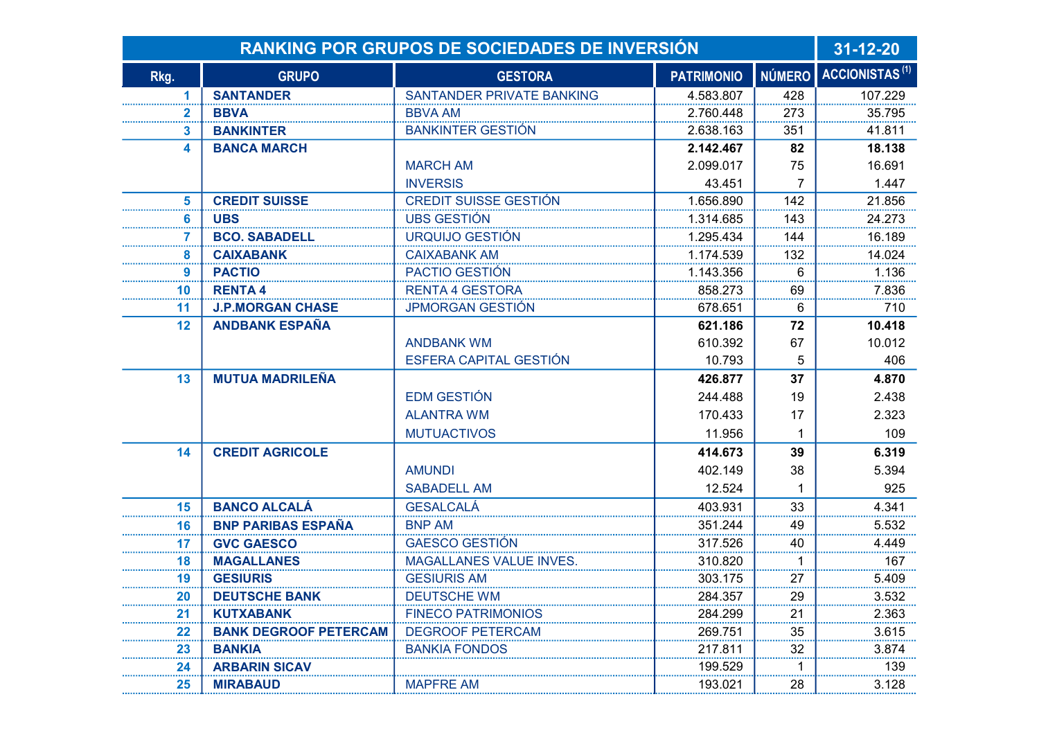| <b>RANKING POR GRUPOS DE SOCIEDADES DE INVERSIÓN</b> |                              |                              |                   |               | $31 - 12 - 20$             |
|------------------------------------------------------|------------------------------|------------------------------|-------------------|---------------|----------------------------|
| Rkg.                                                 | <b>GRUPO</b>                 | <b>GESTORA</b>               | <b>PATRIMONIO</b> | <b>NÚMERO</b> | ACCIONISTAS <sup>(1)</sup> |
| 1                                                    | <b>SANTANDER</b>             | SANTANDER PRIVATE BANKING    | 4.583.807         | 428           | 107.229                    |
| $\mathbf{2}$                                         | <b>BBVA</b>                  | <b>BBVA AM</b>               | 2.760.448         | 273           | 35.795                     |
| 3                                                    | <b>BANKINTER</b>             | <b>BANKINTER GESTIÓN</b>     | 2.638.163         | 351           | 41.811                     |
| 4                                                    | <b>BANCA MARCH</b>           |                              | 2.142.467         | 82            | 18.138                     |
|                                                      |                              | <b>MARCH AM</b>              | 2.099.017         | 75            | 16.691                     |
|                                                      |                              | <b>INVERSIS</b>              | 43.451            | 7             | 1.447                      |
| 5                                                    | <b>CREDIT SUISSE</b>         | <b>CREDIT SUISSE GESTIÓN</b> | 1.656.890         | 142           | 21.856                     |
| 6                                                    | <b>UBS</b>                   | <b>UBS GESTIÓN</b>           | 1.314.685         | 143           | 24.273                     |
| 7                                                    | <b>BCO. SABADELL</b>         | URQUIJO GESTIÓN              | 1.295.434         | 144           | 16.189                     |
| 8                                                    | <b>CAIXABANK</b>             | <b>CAIXABANK AM</b>          | 1.174.539         | 132           | 14.024                     |
| 9                                                    | <b>PACTIO</b>                | PACTIO GESTIÓN               | 1.143.356         | 6             | 1.136                      |
| 10                                                   | <b>RENTA4</b>                | <b>RENTA 4 GESTORA</b>       | 858.273           | 69            | 7.836                      |
| 11                                                   | <b>J.P.MORGAN CHASE</b>      | <b>JPMORGAN GESTIÓN</b>      | 678.651           | 6             | 710                        |
| 12                                                   | <b>ANDBANK ESPAÑA</b>        |                              | 621.186           | 72            | 10.418                     |
|                                                      |                              | <b>ANDBANK WM</b>            | 610.392           | 67            | 10.012                     |
|                                                      |                              | ESFERA CAPITAL GESTIÓN       | 10.793            | 5             | 406                        |
| 13                                                   | <b>MUTUA MADRILEÑA</b>       |                              | 426.877           | 37            | 4.870                      |
|                                                      |                              | <b>EDM GESTIÓN</b>           | 244.488           | 19            | 2.438                      |
|                                                      |                              | <b>ALANTRA WM</b>            | 170.433           | 17            | 2.323                      |
|                                                      |                              | <b>MUTUACTIVOS</b>           | 11.956            |               | 109                        |
| 14                                                   | <b>CREDIT AGRICOLE</b>       |                              | 414.673           | 39            | 6.319                      |
|                                                      |                              | <b>AMUNDI</b>                | 402.149           | 38            | 5.394                      |
|                                                      |                              | <b>SABADELL AM</b>           | 12.524            |               | 925                        |
| 15                                                   | <b>BANCO ALCALÁ</b>          | <b>GESALCALÁ</b>             | 403.931           | 33            | 4.341                      |
| 16                                                   | <b>BNP PARIBAS ESPAÑA</b>    | <b>BNP AM</b>                | 351.244           | 49            | 5.532                      |
| 17                                                   | <b>GVC GAESCO</b>            | <b>GAESCO GESTIÓN</b>        | 317.526           | 40            | 4.449                      |
| 18                                                   | <b>MAGALLANES</b>            | MAGALLANES VALUE INVES.      | 310.820           | 1             | 167                        |
| 19                                                   | <b>GESIURIS</b>              | <b>GESIURIS AM</b>           | 303.175           | 27            | 5.409                      |
| 20                                                   | <b>DEUTSCHE BANK</b>         | <b>DEUTSCHE WM</b>           | 284.357           | 29            | 3.532                      |
| 21                                                   | <b>KUTXABANK</b>             | <b>FINECO PATRIMONIOS</b>    | 284.299           | 21            | 2.363                      |
| 22                                                   | <b>BANK DEGROOF PETERCAM</b> | <b>DEGROOF PETERCAM</b>      | 269.751           | 35            | 3.615                      |
| 23                                                   | <b>BANKIA</b>                | <b>BANKIA FONDOS</b>         | 217.811           | 32            | 3.874                      |
| 24                                                   | <b>ARBARIN SICAV</b>         |                              | 199.529           | 1             | 139                        |
| 25                                                   | <b>MIRABAUD</b>              | <b>MAPFRE AM</b>             | 193.021           | 28            | 3.128                      |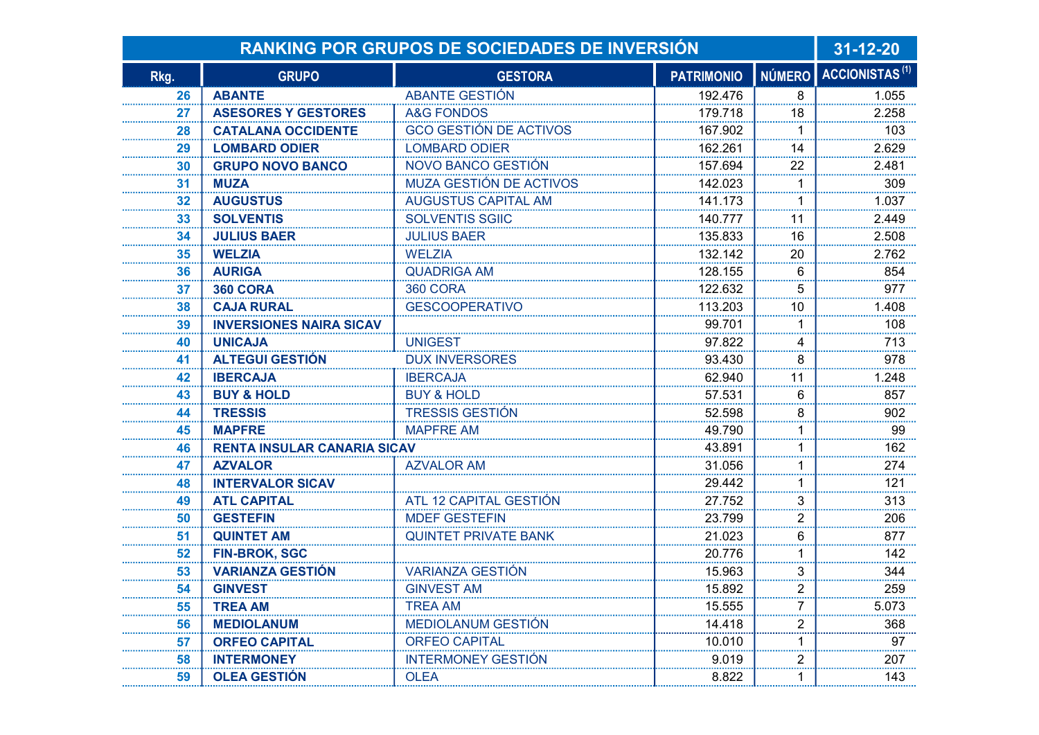| <b>RANKING POR GRUPOS DE SOCIEDADES DE INVERSIÓN</b> |                                    |                               |                   |                | $31 - 12 - 20$                    |
|------------------------------------------------------|------------------------------------|-------------------------------|-------------------|----------------|-----------------------------------|
| Rkg.                                                 | <b>GRUPO</b>                       | <b>GESTORA</b>                | <b>PATRIMONIO</b> |                | NÚMERO ACCIONISTAS <sup>(1)</sup> |
| 26                                                   | <b>ABANTE</b>                      | <b>ABANTE GESTIÓN</b>         | 192.476           | 8              | 1.055                             |
| 27                                                   | <b>ASESORES Y GESTORES</b>         | <b>A&amp;G FONDOS</b>         | 179.718           | 18             | 2.258                             |
| 28                                                   | <b>CATALANA OCCIDENTE</b>          | <b>GCO GESTIÓN DE ACTIVOS</b> | 167.902           |                | 103                               |
| 29                                                   | <b>LOMBARD ODIER</b>               | <b>LOMBARD ODIER</b>          | 162.261           | 14             | 2.629                             |
| 30                                                   | <b>GRUPO NOVO BANCO</b>            | NOVO BANCO GESTIÓN            | 157.694           | 22             | 2.481                             |
| 31                                                   | <b>MUZA</b>                        | MUZA GESTIÓN DE ACTIVOS       | 142.023           | 1              | 309                               |
| 32                                                   | <b>AUGUSTUS</b>                    | <b>AUGUSTUS CAPITAL AM</b>    | 141.173           |                | 1.037                             |
| 33                                                   | <b>SOLVENTIS</b>                   | <b>SOLVENTIS SGIIC</b>        | 140.777           | 11             | 2.449                             |
| 34                                                   | <b>JULIUS BAER</b>                 | <b>JULIUS BAER</b>            | 135.833           | 16             | 2.508                             |
| 35                                                   | <b>WELZIA</b>                      | <b>WELZIA</b>                 | 132.142           | 20             | 2.762                             |
| 36                                                   | <b>AURIGA</b>                      | <b>QUADRIGA AM</b>            | 128.155           | 6              | 854                               |
| 37                                                   | <b>360 CORA</b>                    | <b>360 CORA</b>               | 122.632           | 5              | 977                               |
| 38                                                   | <b>CAJA RURAL</b>                  | <b>GESCOOPERATIVO</b>         | 113.203           | 10             | 1.408                             |
| 39                                                   | <b>INVERSIONES NAIRA SICAV</b>     |                               | 99.701            |                | 108                               |
| 40                                                   | <b>UNICAJA</b>                     | <b>UNIGEST</b>                | 97.822            | 4              | 713                               |
| 41                                                   | <b>ALTEGUI GESTIÓN</b>             | <b>DUX INVERSORES</b>         | 93.430            | 8              | 978                               |
| 42                                                   | <b>IBERCAJA</b>                    | <b>IBERCAJA</b>               | 62.940            | 11             | 1.248                             |
| 43                                                   | <b>BUY &amp; HOLD</b>              | <b>BUY &amp; HOLD</b>         | 57.531            | 6              | 857                               |
| 44                                                   | <b>TRESSIS</b>                     | <b>TRESSIS GESTIÓN</b>        | 52.598            | 8              | 902                               |
| 45                                                   | <b>MAPFRE</b>                      | <b>MAPFRE AM</b>              | 49.790            |                | 99                                |
| 46                                                   | <b>RENTA INSULAR CANARIA SICAV</b> |                               | 43.891            |                | 162                               |
| 47                                                   | <b>AZVALOR</b>                     | <b>AZVALOR AM</b>             | 31.056            |                | 274                               |
| 48                                                   | <b>INTERVALOR SICAV</b>            |                               | 29.442            | 1              | 121                               |
| 49                                                   | <b>ATL CAPITAL</b>                 | ATL 12 CAPITAL GESTIÓN        | 27.752            | 3              | 313                               |
| 50                                                   | <b>GESTEFIN</b>                    | <b>MDEF GESTEFIN</b>          | 23.799            | $\overline{2}$ | 206<br>                           |
| 51                                                   | <b>QUINTET AM</b>                  | <b>QUINTET PRIVATE BANK</b>   | 21.023            | 6              | 877                               |
| 52                                                   | <b>FIN-BROK, SGC</b>               |                               | 20.776            | 1              | 142                               |
| 53                                                   | <b>VARIANZA GESTIÓN</b>            | <b>VARIANZA GESTIÓN</b>       | 15.963            | 3              | 344                               |
| 54                                                   | <b>GINVEST</b>                     | <b>GINVEST AM</b>             | 15.892            | 2              | 259                               |
| 55                                                   | <b>TREA AM</b>                     | TREA AM                       | 15.555            | 7              | 5.073                             |
| 56                                                   | <b>MEDIOLANUM</b>                  | <b>MEDIOLANUM GESTIÓN</b>     | 14.418            | $\overline{2}$ | 368                               |
| 57                                                   | <b>ORFEO CAPITAL</b>               | <b>ORFEO CAPITAL</b>          | 10.010            |                | 97                                |
| 58                                                   | <b>INTERMONEY</b>                  | <b>INTERMONEY GESTIÓN</b>     | 9.019             | $\overline{2}$ | 207                               |
| 59                                                   | <b>OLEA GESTIÓN</b>                | <b>OLEA</b>                   | 8.822             | 1              | 143                               |